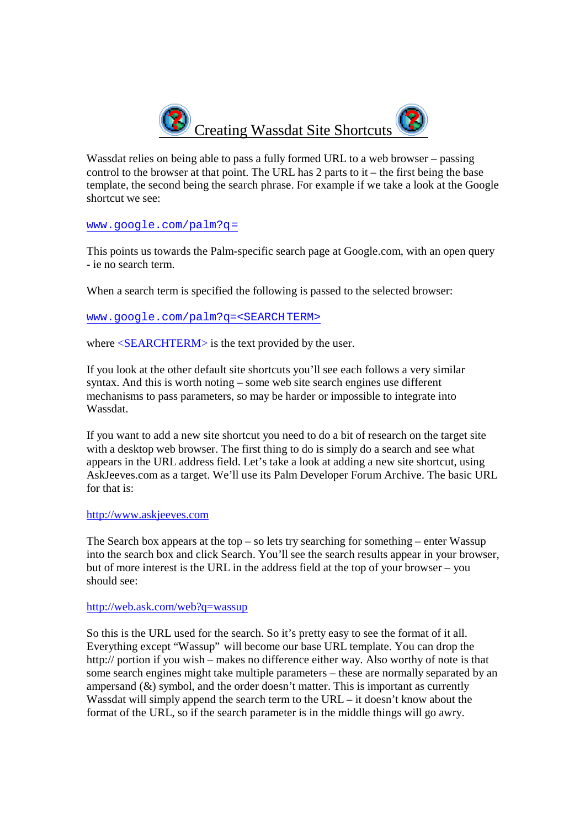

Wassdat relies on being able to pass a fully formed URL to a web browser – passing control to the browser at that point. The URL has 2 parts to it – the first being the base template, the second being the search phrase. For example if we take a look at the Google shortcut we see:

## www.google.com/palm?q=

This points us towards the Palm-specific search page at Google.com, with an open query - ie no search term.

When a search term is specified the following is passed to the selected browser:

www.google.com/palm?q=<SEARCHTERM>

where  $\leq$ **SEARCHTERM**> is the text provided by the user.

If you look at the other default site shortcuts you'll see each follows a very similar syntax. And this is worth noting – some web site search engines use different mechanisms to pass parameters, so may be harder or impossible to integrate into Wassdat.

If you want to add a new site shortcut you need to do a bit of research on the target site with a desktop web browser. The first thing to do is simply do a search and see what appears in the URL address field. Let's take a look at adding a new site shortcut, using AskJeeves.com as a target. We'll use its Palm Developer Forum Archive. The basic URL for that is:

## http://www.askjeeves.com

The Search box appears at the top – so lets try searching for something – enter Wassup into the search box and click Search. You'll see the search results appear in your browser, but of more interest is the URL in the address field at the top of your browser – you should see:

## http://web.ask.com/web?q=wassup

So this is the URL used for the search. So it's pretty easy to see the format of it all. Everything except "Wassup" will become our base URL template. You can drop the http:// portion if you wish – makes no difference either way. Also worthy of note is that some search engines might take multiple parameters – these are normally separated by an ampersand  $(\&)$  symbol, and the order doesn't matter. This is important as currently Wassdat will simply append the search term to the URL – it doesn't know about the format of the URL, so if the search parameter is in the middle things will go awry.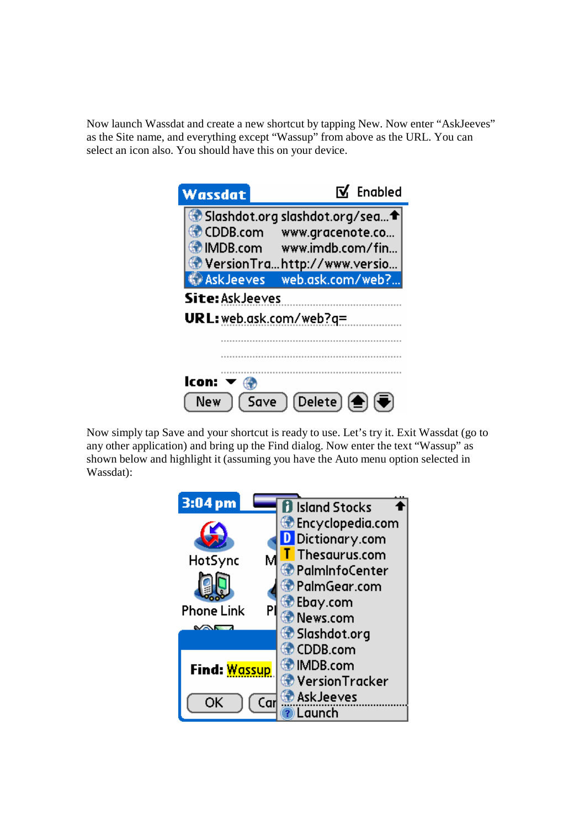Now launch Wassdat and create a new shortcut by tapping New. Now enter "AskJeeves" as the Site name, and everything except "Wassup" from above as the URL. You can select an icon also. You should have this on your device.

| Wassdat                                                                                         |                                      | M Enabled |
|-------------------------------------------------------------------------------------------------|--------------------------------------|-----------|
| Slashdot.org slashdot.org/sea t<br>$\bullet$ CDDB.com<br>MDB.com<br>VersionTrahttp://www.versio | www.gracenote.co<br>www.imdb.com/fin |           |
| <b>AskJeeves</b><br>Site: Ask Jeeves                                                            | web.ask.com/web?                     |           |
| URL: web.ask.com/web?q=                                                                         |                                      |           |
| lcon:<br>Save                                                                                   | $(Delete)$ $\left(\bigoplus\right)$  |           |

Now simply tap Save and your shortcut is ready to use. Let's try it. Exit Wassdat (go to any other application) and bring up the Find dialog. Now enter the text "Wassup" as shown below and highlight it (assuming you have the Auto menu option selected in Wassdat):